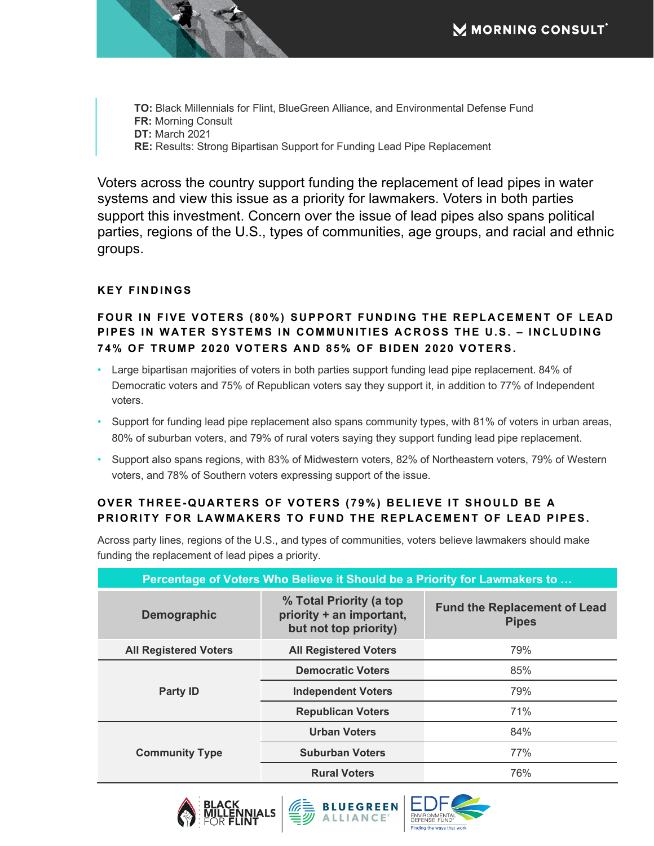**TO:** Black Millennials for Flint, BlueGreen Alliance, and Environmental Defense Fund **FR:** Morning Consult **DT:** March 2021 **RE:** Results: Strong Bipartisan Support for Funding Lead Pipe Replacement

Voters across the country support funding the replacement of lead pipes in water systems and view this issue as a priority for lawmakers. Voters in both parties support this investment. Concern over the issue of lead pipes also spans political parties, regions of the U.S., types of communities, age groups, and racial and ethnic groups.

## **KEY FINDINGS**

## FOUR IN FIVE VOTERS (80%) SUPPORT FUNDING THE REPLACEMENT OF LEAD **PIPES IN WATER SYSTEMS IN COMMUNITIES ACROSS THE U.S. – INCLUDING 74% OF TRUMP 2020 VOTERS AND 85% OF BIDEN 2020 VOTERS.**

- Large bipartisan majorities of voters in both parties support funding lead pipe replacement. 84% of Democratic voters and 75% of Republican voters say they support it, in addition to 77% of Independent voters.
- Support for funding lead pipe replacement also spans community types, with 81% of voters in urban areas, 80% of suburban voters, and 79% of rural voters saying they support funding lead pipe replacement.
- Support also spans regions, with 83% of Midwestern voters, 82% of Northeastern voters, 79% of Western voters, and 78% of Southern voters expressing support of the issue.

## **OVER THREE-QUARTERS OF VOTERS (79%) BELIEVE IT SHOULD BE A PRIORITY FOR LAWMAKERS TO FUND THE REPLACEMENT OF LEAD PIPES.**

Across party lines, regions of the U.S., and types of communities, voters believe lawmakers should make funding the replacement of lead pipes a priority.

| Percentage of Voters Who Believe it Should be a Priority for Lawmakers to |                                                                              |                                                     |  |
|---------------------------------------------------------------------------|------------------------------------------------------------------------------|-----------------------------------------------------|--|
| Demographic                                                               | % Total Priority (a top<br>priority + an important,<br>but not top priority) | <b>Fund the Replacement of Lead</b><br><b>Pipes</b> |  |
| <b>All Registered Voters</b>                                              | <b>All Registered Voters</b>                                                 | 79%                                                 |  |
| <b>Party ID</b>                                                           | <b>Democratic Voters</b>                                                     | 85%                                                 |  |
|                                                                           | <b>Independent Voters</b>                                                    | 79%                                                 |  |
|                                                                           | <b>Republican Voters</b>                                                     | 71%                                                 |  |
| <b>Community Type</b>                                                     | <b>Urban Voters</b>                                                          | 84%                                                 |  |
|                                                                           | <b>Suburban Voters</b>                                                       | 77%                                                 |  |
|                                                                           | <b>Rural Voters</b>                                                          | 76%                                                 |  |





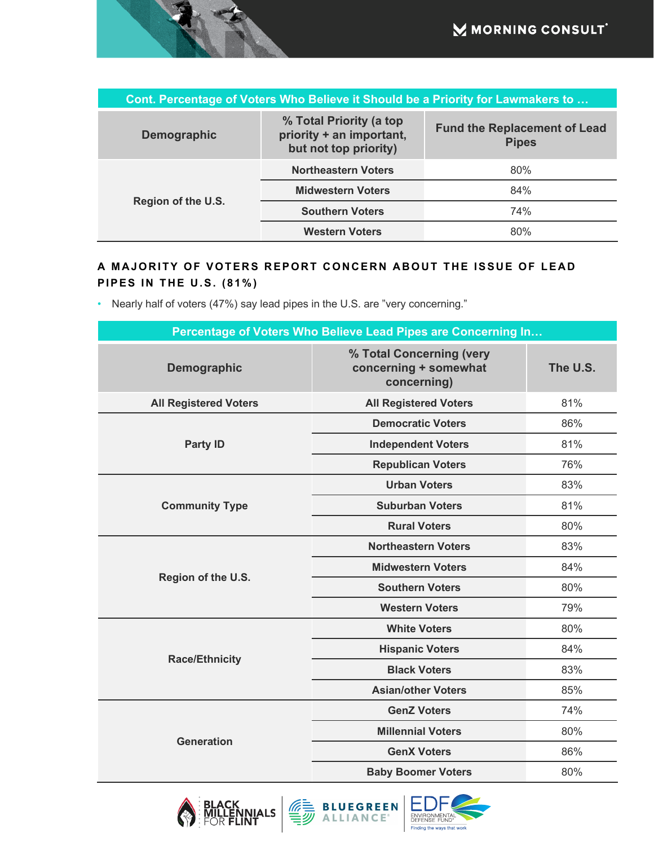| Cont. Percentage of Voters Who Believe it Should be a Priority for Lawmakers to |                                                                              |                                                     |  |  |
|---------------------------------------------------------------------------------|------------------------------------------------------------------------------|-----------------------------------------------------|--|--|
| <b>Demographic</b>                                                              | % Total Priority (a top<br>priority + an important,<br>but not top priority) | <b>Fund the Replacement of Lead</b><br><b>Pipes</b> |  |  |
| Region of the U.S.                                                              | <b>Northeastern Voters</b>                                                   | 80%                                                 |  |  |
|                                                                                 | <b>Midwestern Voters</b>                                                     | 84%                                                 |  |  |
|                                                                                 | <b>Southern Voters</b>                                                       | 74%                                                 |  |  |
|                                                                                 | <b>Western Voters</b>                                                        | 80%                                                 |  |  |

## **A MAJORITY OF VOTERS REPORT CONCERN ABOUT THE ISSUE OF LEAD PIPES IN THE U.S. (81%)**

• Nearly half of voters (47%) say lead pipes in the U.S. are "very concerning."

| Percentage of Voters Who Believe Lead Pipes are Concerning In |                                                                  |          |  |  |
|---------------------------------------------------------------|------------------------------------------------------------------|----------|--|--|
| Demographic                                                   | % Total Concerning (very<br>concerning + somewhat<br>concerning) | The U.S. |  |  |
| <b>All Registered Voters</b>                                  | <b>All Registered Voters</b>                                     | 81%      |  |  |
|                                                               | <b>Democratic Voters</b>                                         | 86%      |  |  |
| <b>Party ID</b>                                               | <b>Independent Voters</b>                                        | 81%      |  |  |
|                                                               | <b>Republican Voters</b>                                         | 76%      |  |  |
| <b>Community Type</b>                                         | <b>Urban Voters</b>                                              | 83%      |  |  |
|                                                               | <b>Suburban Voters</b>                                           | 81%      |  |  |
|                                                               | <b>Rural Voters</b>                                              | 80%      |  |  |
|                                                               | <b>Northeastern Voters</b>                                       | 83%      |  |  |
|                                                               | <b>Midwestern Voters</b>                                         | 84%      |  |  |
| Region of the U.S.                                            | <b>Southern Voters</b>                                           | 80%      |  |  |
|                                                               | <b>Western Voters</b>                                            | 79%      |  |  |
|                                                               | <b>White Voters</b>                                              | 80%      |  |  |
| <b>Race/Ethnicity</b>                                         | <b>Hispanic Voters</b>                                           | 84%      |  |  |
|                                                               | <b>Black Voters</b>                                              | 83%      |  |  |
|                                                               | <b>Asian/other Voters</b>                                        | 85%      |  |  |
| <b>Generation</b>                                             | <b>GenZ Voters</b>                                               | 74%      |  |  |
|                                                               | <b>Millennial Voters</b>                                         | 80%      |  |  |
|                                                               | <b>GenX Voters</b>                                               | 86%      |  |  |
|                                                               | <b>Baby Boomer Voters</b>                                        | 80%      |  |  |